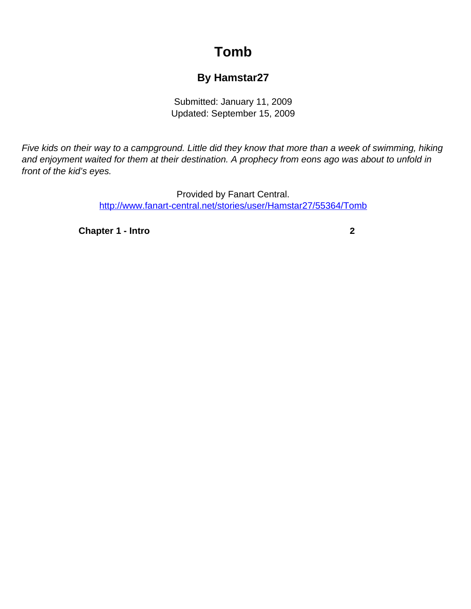## **Tomb**

## **By Hamstar27**

Submitted: January 11, 2009 Updated: September 15, 2009

<span id="page-0-0"></span>Five kids on their way to a campground. Little did they know that more than a week of swimming, hiking and enjoyment waited for them at their destination. A prophecy from eons ago was about to unfold in front of the kid's eyes.

> Provided by Fanart Central. [http://www.fanart-central.net/stories/user/Hamstar27/55364/Tomb](#page-0-0)

**[Chapter 1 - Intro](#page-1-0) [2](#page-1-0)**